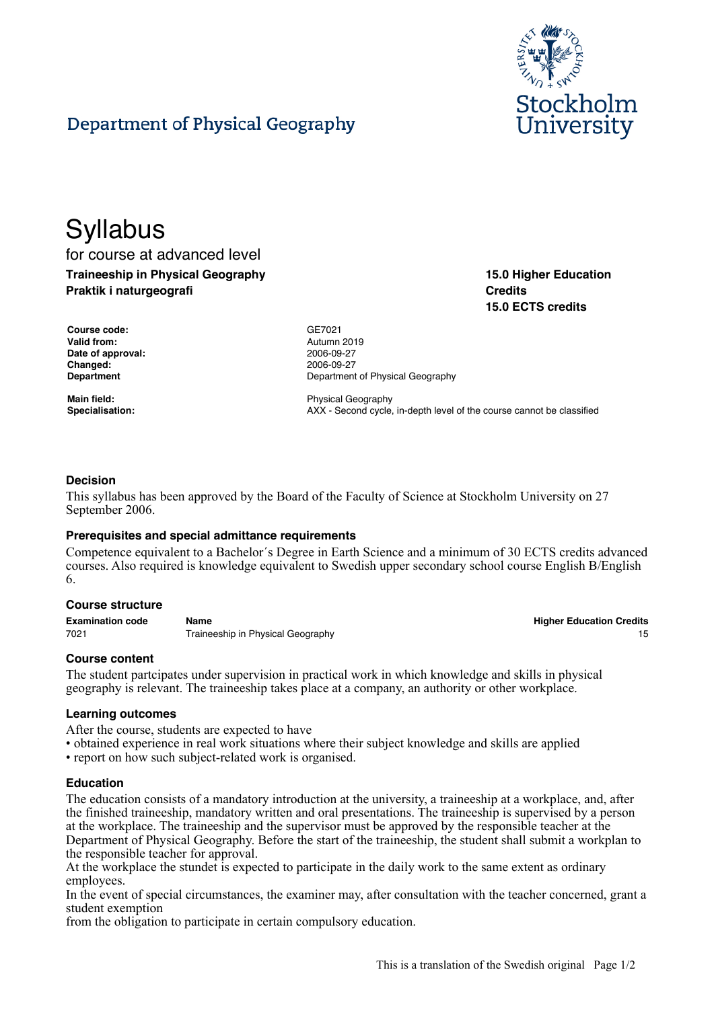

# Department of Physical Geography

# **Syllabus**

for course at advanced level **Traineeship in Physical Geography Praktik i naturgeografi**

**15.0 Higher Education Credits 15.0 ECTS credits**

| <b>Course code:</b> |
|---------------------|
| <b>Valid from:</b>  |
| Date of approval:   |
| Changed:            |
| Department          |

**Course code:** GE7021 **Valid from:** Autumn 2019 **Date of approval:** 2006-09-27 **Changed:** 2006-09-27 **Department of Physical Geography** 

**Main field:** Physical Geography **Specialisation:** AXX - Second cycle, in-depth level of the course cannot be classified

# **Decision**

This syllabus has been approved by the Board of the Faculty of Science at Stockholm University on 27 September 2006.

# **Prerequisites and special admittance requirements**

Competence equivalent to a Bachelor´s Degree in Earth Science and a minimum of 30 ECTS credits advanced courses. Also required is knowledge equivalent to Swedish upper secondary school course English B/English 6.

# **Course structure**

| <b>Examination code</b> | Name                              | <b>Higher Education Credits</b> |
|-------------------------|-----------------------------------|---------------------------------|
| 7021                    | Traineeship in Physical Geography |                                 |

# **Course content**

The student partcipates under supervision in practical work in which knowledge and skills in physical geography is relevant. The traineeship takes place at a company, an authority or other workplace.

#### **Learning outcomes**

After the course, students are expected to have

- obtained experience in real work situations where their subject knowledge and skills are applied
- report on how such subject-related work is organised.

#### **Education**

The education consists of a mandatory introduction at the university, a traineeship at a workplace, and, after the finished traineeship, mandatory written and oral presentations. The traineeship is supervised by a person at the workplace. The traineeship and the supervisor must be approved by the responsible teacher at the Department of Physical Geography. Before the start of the traineeship, the student shall submit a workplan to the responsible teacher for approval.

At the workplace the stundet is expected to participate in the daily work to the same extent as ordinary employees.

In the event of special circumstances, the examiner may, after consultation with the teacher concerned, grant a student exemption

from the obligation to participate in certain compulsory education.